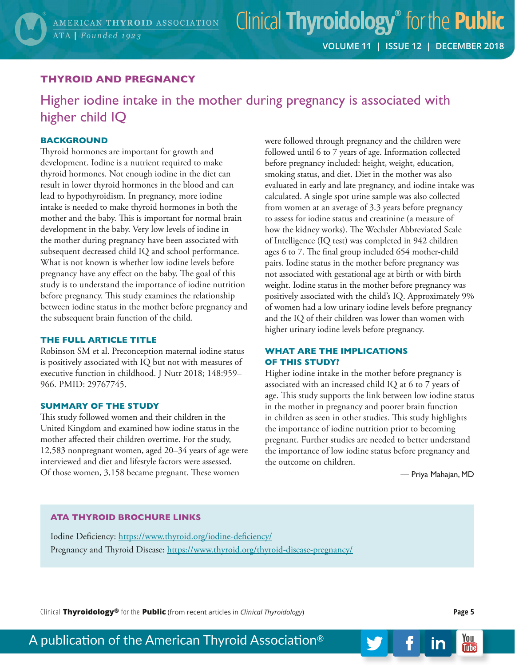# **THYROID AND PREGNANCY**

Higher iodine intake in the mother during pregnancy is associated with higher child IQ

## **BACKGROUND**

Thyroid hormones are important for growth and development. Iodine is a nutrient required to make thyroid hormones. Not enough iodine in the diet can result in lower thyroid hormones in the blood and can lead to hypothyroidism. In pregnancy, more iodine intake is needed to make thyroid hormones in both the mother and the baby. This is important for normal brain development in the baby. Very low levels of iodine in the mother during pregnancy have been associated with subsequent decreased child IQ and school performance. What is not known is whether low iodine levels before pregnancy have any effect on the baby. The goal of this study is to understand the importance of iodine nutrition before pregnancy. This study examines the relationship between iodine status in the mother before pregnancy and the subsequent brain function of the child.

#### **THE FULL ARTICLE TITLE**

Robinson SM et al. Preconception maternal iodine status is positively associated with IQ but not with measures of executive function in childhood. J Nutr 2018; 148:959– 966. PMID: 29767745.

#### **SUMMARY OF THE STUDY**

This study followed women and their children in the United Kingdom and examined how iodine status in the mother affected their children overtime. For the study, 12,583 nonpregnant women, aged 20–34 years of age were interviewed and diet and lifestyle factors were assessed. Of those women, 3,158 became pregnant. These women

were followed through pregnancy and the children were followed until 6 to 7 years of age. Information collected before pregnancy included: height, weight, education, smoking status, and diet. Diet in the mother was also evaluated in early and late pregnancy, and iodine intake was calculated. A single spot urine sample was also collected from women at an average of 3.3 years before pregnancy to assess for iodine status and creatinine (a measure of how the kidney works). The Wechsler Abbreviated Scale of Intelligence (IQ test) was completed in 942 children ages 6 to 7. The final group included 654 mother-child pairs. Iodine status in the mother before pregnancy was not associated with gestational age at birth or with birth weight. Iodine status in the mother before pregnancy was positively associated with the child's IQ. Approximately 9% of women had a low urinary iodine levels before pregnancy and the IQ of their children was lower than women with higher urinary iodine levels before pregnancy.

### **WHAT ARE THE IMPLICATIONS OF THIS STUDY?**

Higher iodine intake in the mother before pregnancy is associated with an increased child IQ at 6 to 7 years of age. This study supports the link between low iodine status in the mother in pregnancy and poorer brain function in children as seen in other studies. This study highlights the importance of iodine nutrition prior to becoming pregnant. Further studies are needed to better understand the importance of low iodine status before pregnancy and the outcome on children.

— Priya Mahajan, MD

## **ATA THYROID BROCHURE LINKS**

Iodine Deficiency: <https://www.thyroid.org/iodine-deficiency/> Pregnancy and Thyroid Disease: <https://www.thyroid.org/thyroid-disease-pregnancy/>

Clinical **Thyroidology®** for the **Public** (from recent articles in *Clinical Thyroidology*) **Page 5**

You

**Tube** 

in